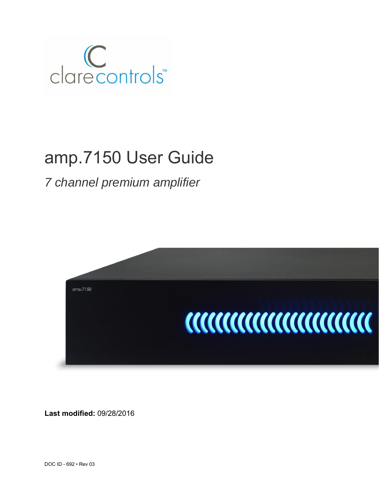

# amp.7150 User Guide

*7 channel premium amplifier*



**Last modified:** 09/28/2016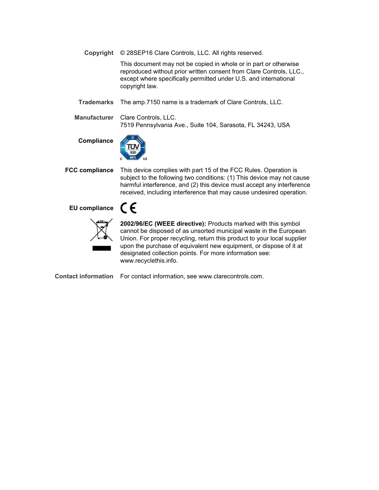**Copyright** © 28SEP16 Clare Controls, LLC. All rights reserved.

This document may not be copied in whole or in part or otherwise reproduced without prior written consent from Clare Controls, LLC., except where specifically permitted under U.S. and international copyright law.

**Trademarks** The amp.7150 name is a trademark of Clare Controls, LLC.

**Manufacturer** Clare Controls, LLC. 7519 Pennsylvania Ave., Suite 104, Sarasota, FL 34243, USA

#### **Compliance**



**FCC compliance** This device complies with part 15 of the FCC Rules. Operation is subject to the following two conditions: (1) This device may not cause harmful interference, and (2) this device must accept any interference received, including interference that may cause undesired operation.

## **EU compliance**



**2002/96/EC (WEEE directive):** Products marked with this symbol cannot be disposed of as unsorted municipal waste in the European Union. For proper recycling, return this product to your local supplier upon the purchase of equivalent new equipment, or dispose of it at designated collection points. For more information see: www.recyclethis.info.

**Contact information** For contact information, see www.clarecontrols.com.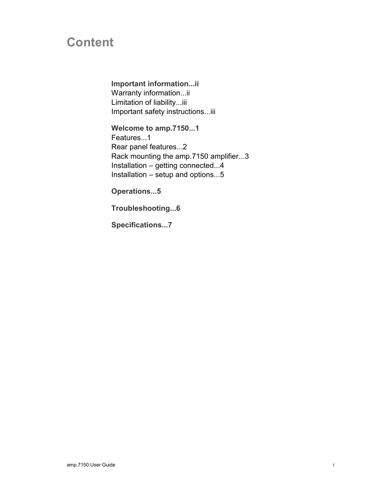## **Content**

**Important information...ii** Warranty information...ii Limitation of liability...iii Important safety instructions...iii

**Welcome to amp.7150...1** Features...1 Rear panel features...2 Rack mounting the amp.7150 amplifier...3 Installation – getting connected...4 Installation – setup and options...5

**Operations...5**

**Troubleshooting...6**

**Specifications...7**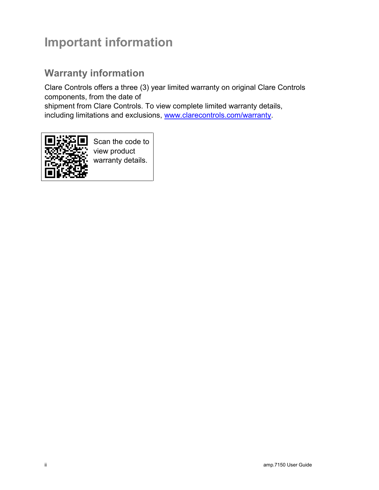## **Important information**

## **Warranty information**

Clare Controls offers a three (3) year limited warranty on original Clare Controls components, from the date of

shipment from Clare Controls. To view complete limited warranty details, including limitations and exclusions, [www.clarecontrols.com/warranty.](http://www.clarecontrols.com/warranty)



Scan the code to view product warranty details.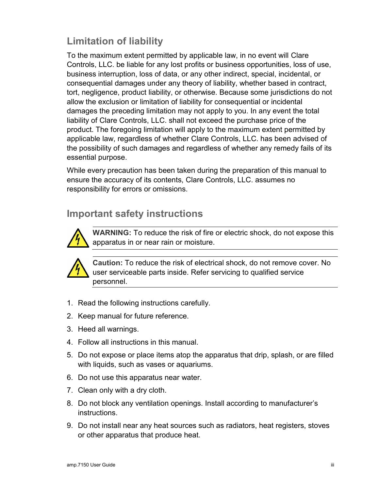## **Limitation of liability**

To the maximum extent permitted by applicable law, in no event will Clare Controls, LLC. be liable for any lost profits or business opportunities, loss of use, business interruption, loss of data, or any other indirect, special, incidental, or consequential damages under any theory of liability, whether based in contract, tort, negligence, product liability, or otherwise. Because some jurisdictions do not allow the exclusion or limitation of liability for consequential or incidental damages the preceding limitation may not apply to you. In any event the total liability of Clare Controls, LLC. shall not exceed the purchase price of the product. The foregoing limitation will apply to the maximum extent permitted by applicable law, regardless of whether Clare Controls, LLC. has been advised of the possibility of such damages and regardless of whether any remedy fails of its essential purpose.

While every precaution has been taken during the preparation of this manual to ensure the accuracy of its contents, Clare Controls, LLC. assumes no responsibility for errors or omissions.

## **Important safety instructions**



**WARNING:** To reduce the risk of fire or electric shock, do not expose this apparatus in or near rain or moisture.



**Caution:** To reduce the risk of electrical shock, do not remove cover. No user serviceable parts inside. Refer servicing to qualified service personnel.

- 1. Read the following instructions carefully.
- 2. Keep manual for future reference.
- 3. Heed all warnings.
- 4. Follow all instructions in this manual.
- 5. Do not expose or place items atop the apparatus that drip, splash, or are filled with liquids, such as vases or aquariums.
- 6. Do not use this apparatus near water.
- 7. Clean only with a dry cloth.
- 8. Do not block any ventilation openings. Install according to manufacturer's instructions.
- 9. Do not install near any heat sources such as radiators, heat registers, stoves or other apparatus that produce heat.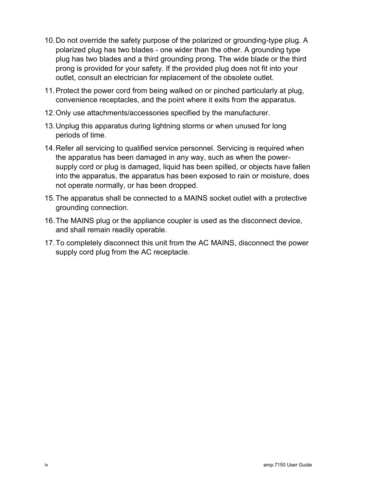- 10.Do not override the safety purpose of the polarized or grounding-type plug. A polarized plug has two blades - one wider than the other. A grounding type plug has two blades and a third grounding prong. The wide blade or the third prong is provided for your safety. If the provided plug does not fit into your outlet, consult an electrician for replacement of the obsolete outlet.
- 11.Protect the power cord from being walked on or pinched particularly at plug, convenience receptacles, and the point where it exits from the apparatus.
- 12.Only use attachments/accessories specified by the manufacturer.
- 13.Unplug this apparatus during lightning storms or when unused for long periods of time.
- 14.Refer all servicing to qualified service personnel. Servicing is required when the apparatus has been damaged in any way, such as when the powersupply cord or plug is damaged, liquid has been spilled, or objects have fallen into the apparatus, the apparatus has been exposed to rain or moisture, does not operate normally, or has been dropped.
- 15.The apparatus shall be connected to a MAINS socket outlet with a protective grounding connection.
- 16.The MAINS plug or the appliance coupler is used as the disconnect device, and shall remain readily operable.
- 17.To completely disconnect this unit from the AC MAINS, disconnect the power supply cord plug from the AC receptacle.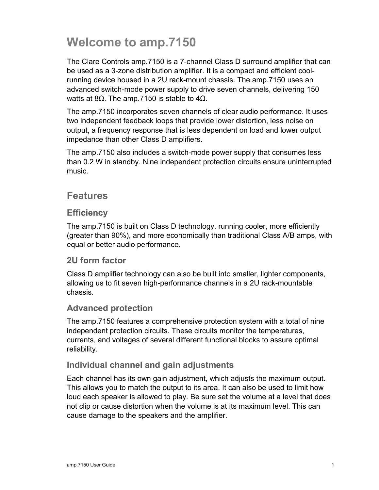## **Welcome to amp.7150**

The Clare Controls amp.7150 is a 7-channel Class D surround amplifier that can be used as a 3-zone distribution amplifier. It is a compact and efficient coolrunning device housed in a 2U rack-mount chassis. The amp.7150 uses an advanced switch-mode power supply to drive seven channels, delivering 150 watts at 8Ω. The amp.7150 is stable to  $4Ω$ .

The amp.7150 incorporates seven channels of clear audio performance. It uses two independent feedback loops that provide lower distortion, less noise on output, a frequency response that is less dependent on load and lower output impedance than other Class D amplifiers.

The amp.7150 also includes a switch-mode power supply that consumes less than 0.2 W in standby. Nine independent protection circuits ensure uninterrupted music.

## **Features**

### **Efficiency**

The amp.7150 is built on Class D technology, running cooler, more efficiently (greater than 90%), and more economically than traditional Class A/B amps, with equal or better audio performance.

## **2U form factor**

Class D amplifier technology can also be built into smaller, lighter components, allowing us to fit seven high-performance channels in a 2U rack-mountable chassis.

### **Advanced protection**

The amp.7150 features a comprehensive protection system with a total of nine independent protection circuits. These circuits monitor the temperatures, currents, and voltages of several different functional blocks to assure optimal reliability.

## **Individual channel and gain adjustments**

Each channel has its own gain adjustment, which adjusts the maximum output. This allows you to match the output to its area. It can also be used to limit how loud each speaker is allowed to play. Be sure set the volume at a level that does not clip or cause distortion when the volume is at its maximum level. This can cause damage to the speakers and the amplifier.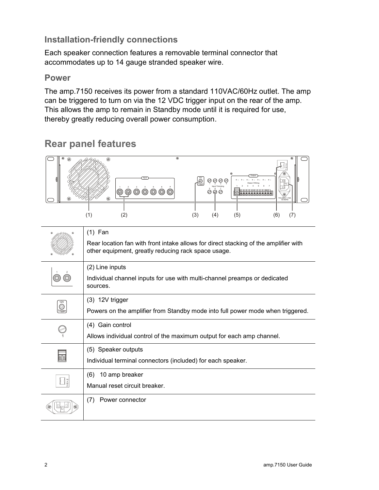## **Installation-friendly connections**

Each speaker connection features a removable terminal connector that accommodates up to 14 gauge stranded speaker wire.

## **Power**

The amp.7150 receives its power from a standard 110VAC/60Hz outlet. The amp can be triggered to turn on via the 12 VDC trigger input on the rear of the amp. This allows the amp to remain in Standby mode until it is required for use, thereby greatly reducing overall power consumption.

#### $\circledR$ M Output Input  $|\tilde{\circ}|$ + - + - + - + - + - + - + - Class 2 Wiring Trigger 1 2 3 4 Input Trimming 1 2 3 4 5 6 7 1 2 3 4 5 6 7 **@@@@@** စဲ *ရဲ* ဓ  $^{\circledR}$ 110-240V ~ 10A 50-60Hz (1) (2) (3) (4) (5) (6) (7) (1) Fan Rear location fan with front intake allows for direct stacking of the amplifier with other equipment, greatly reducing rack space usage. (2) Line inputs 1 2 0 (0) Individual channel inputs for use with multi-channel preamps or dedicated sources. (3) 12V trigger 12V Powers on the amplifier from Standby mode into full power mode when triggered. Trigger (4) Gain control  $\bigcirc$ Allows individual control of the maximum output for each amp channel. 1 (5) Speaker outputs 冨 Individual terminal connectors (included) for each speaker. (6) 10 amp breaker 10 A M Manual reset circuit breaker. P(7) Power connector 丽

## **Rear panel features**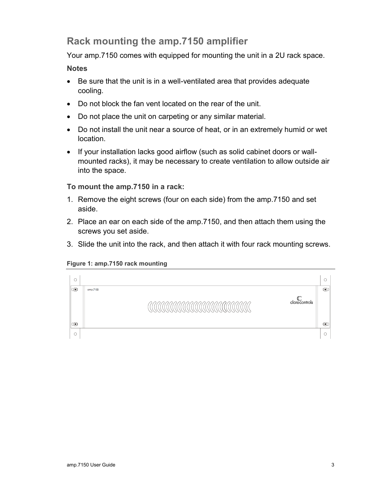## **Rack mounting the amp.7150 amplifier**

Your amp.7150 comes with equipped for mounting the unit in a 2U rack space.

**Notes**

- Be sure that the unit is in a well-ventilated area that provides adequate cooling.
- Do not block the fan vent located on the rear of the unit.
- Do not place the unit on carpeting or any similar material.
- Do not install the unit near a source of heat, or in an extremely humid or wet location.
- If your installation lacks good airflow (such as solid cabinet doors or wallmounted racks), it may be necessary to create ventilation to allow outside air into the space.

**To mount the amp.7150 in a rack:**

- 1. Remove the eight screws (four on each side) from the amp.7150 and set aside.
- 2. Place an ear on each side of the amp.7150, and then attach them using the screws you set aside.
- 3. Slide the unit into the rack, and then attach it with four rack mounting screws.

#### **Figure 1: amp.7150 rack mounting**

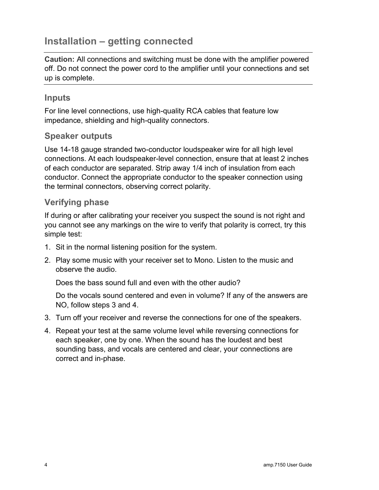## **Installation – getting connected**

**Caution:** All connections and switching must be done with the amplifier powered off. Do not connect the power cord to the amplifier until your connections and set up is complete.

## **Inputs**

For line level connections, use high-quality RCA cables that feature low impedance, shielding and high-quality connectors.

## **Speaker outputs**

Use 14-18 gauge stranded two-conductor loudspeaker wire for all high level connections. At each loudspeaker-level connection, ensure that at least 2 inches of each conductor are separated. Strip away 1/4 inch of insulation from each conductor. Connect the appropriate conductor to the speaker connection using the terminal connectors, observing correct polarity.

## **Verifying phase**

If during or after calibrating your receiver you suspect the sound is not right and you cannot see any markings on the wire to verify that polarity is correct, try this simple test:

- 1. Sit in the normal listening position for the system.
- 2. Play some music with your receiver set to Mono. Listen to the music and observe the audio.

Does the bass sound full and even with the other audio?

Do the vocals sound centered and even in volume? If any of the answers are NO, follow steps 3 and 4.

- 3. Turn off your receiver and reverse the connections for one of the speakers.
- 4. Repeat your test at the same volume level while reversing connections for each speaker, one by one. When the sound has the loudest and best sounding bass, and vocals are centered and clear, your connections are correct and in-phase.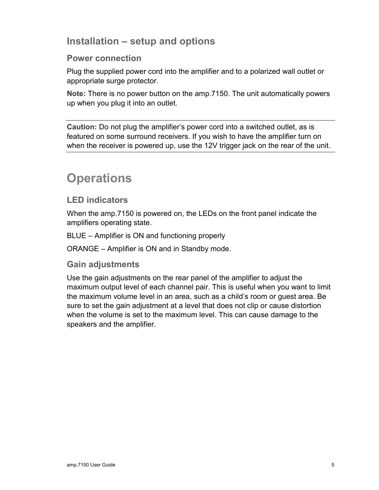## **Installation – setup and options**

## **Power connection**

Plug the supplied power cord into the amplifier and to a polarized wall outlet or appropriate surge protector.

**Note:** There is no power button on the amp.7150. The unit automatically powers up when you plug it into an outlet.

**Caution:** Do not plug the amplifier's power cord into a switched outlet, as is featured on some surround receivers. If you wish to have the amplifier turn on when the receiver is powered up, use the 12V trigger jack on the rear of the unit.

## **Operations**

## **LED indicators**

When the amp.7150 is powered on, the LEDs on the front panel indicate the amplifiers operating state.

BLUE – Amplifier is ON and functioning properly

ORANGE – Amplifier is ON and in Standby mode.

## **Gain adjustments**

Use the gain adjustments on the rear panel of the amplifier to adjust the maximum output level of each channel pair. This is useful when you want to limit the maximum volume level in an area, such as a child's room or guest area. Be sure to set the gain adjustment at a level that does not clip or cause distortion when the volume is set to the maximum level. This can cause damage to the speakers and the amplifier.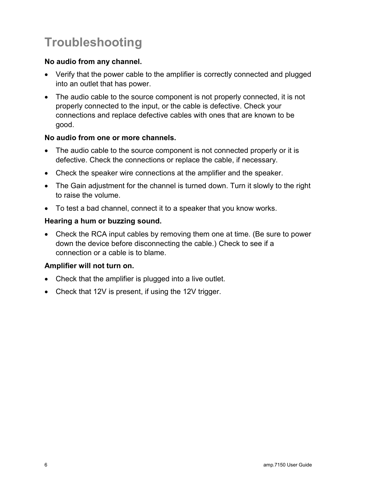## **Troubleshooting**

### **No audio from any channel.**

- Verify that the power cable to the amplifier is correctly connected and plugged into an outlet that has power.
- The audio cable to the source component is not properly connected, it is not properly connected to the input, or the cable is defective. Check your connections and replace defective cables with ones that are known to be good.

## **No audio from one or more channels.**

- The audio cable to the source component is not connected properly or it is defective. Check the connections or replace the cable, if necessary.
- Check the speaker wire connections at the amplifier and the speaker.
- The Gain adjustment for the channel is turned down. Turn it slowly to the right to raise the volume.
- To test a bad channel, connect it to a speaker that you know works.

## **Hearing a hum or buzzing sound.**

 Check the RCA input cables by removing them one at time. (Be sure to power down the device before disconnecting the cable.) Check to see if a connection or a cable is to blame.

### **Amplifier will not turn on.**

- Check that the amplifier is plugged into a live outlet.
- Check that 12V is present, if using the 12V trigger.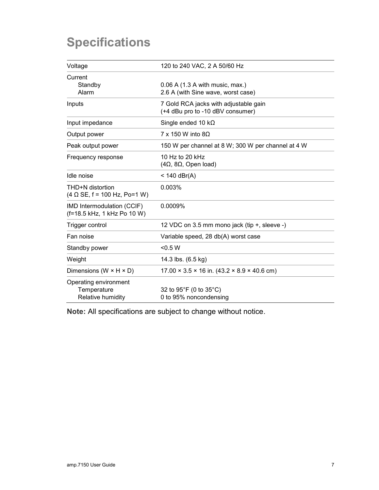## **Specifications**

| Voltage                                                   | 120 to 240 VAC, 2 A 50/60 Hz                                              |
|-----------------------------------------------------------|---------------------------------------------------------------------------|
| Current<br>Standby<br>Alarm                               | $0.06$ A (1.3 A with music, max.)<br>2.6 A (with Sine wave, worst case)   |
| Inputs                                                    | 7 Gold RCA jacks with adjustable gain<br>(+4 dBu pro to -10 dBV consumer) |
| Input impedance                                           | Single ended 10 $k\Omega$                                                 |
| Output power                                              | $7 \times 150$ W into 80                                                  |
| Peak output power                                         | 150 W per channel at 8 W; 300 W per channel at 4 W                        |
| Frequency response                                        | 10 Hz to 20 kHz<br>$(4\Omega, 8\Omega,$ Open load)                        |
| Idle noise                                                | $< 140$ dBr(A)                                                            |
| THD+N distortion<br>$(4 \Omega$ SE, f = 100 Hz, Po=1 W)   | 0.003%                                                                    |
| IMD Intermodulation (CCIF)<br>(f=18.5 kHz, 1 kHz Po 10 W) | 0.0009%                                                                   |
| Trigger control                                           | 12 VDC on 3.5 mm mono jack (tip +, sleeve -)                              |
| Fan noise                                                 | Variable speed, 28 db(A) worst case                                       |
| Standby power                                             | < 0.5 W                                                                   |
| Weight                                                    | 14.3 lbs. (6.5 kg)                                                        |
| Dimensions (W $\times$ H $\times$ D)                      | $17.00 \times 3.5 \times 16$ in. $(43.2 \times 8.9 \times 40.6$ cm)       |
| Operating environment<br>Temperature<br>Relative humidity | 32 to 95°F (0 to 35°C)<br>0 to 95% noncondensing                          |

**Note:** All specifications are subject to change without notice.